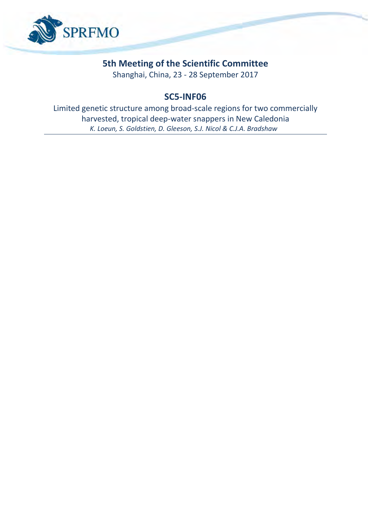

## **5th Meeting of the Scientific Committee**

Shanghai, China, 23 - 28 September 2017

## **SC5-INF06**

Limited genetic structure among broad-scale regions for two commercially harvested, tropical deep-water snappers in New Caledonia *K. Loeun, S. Goldstien, D. Gleeson, S.J. Nicol & C.J.A. Bradshaw*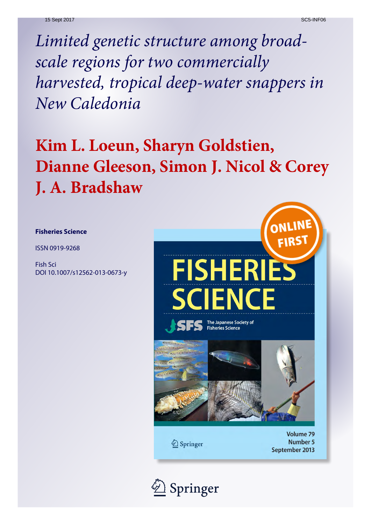*Limited genetic structure among broadscale regions for two commercially harvested, tropical deep-water snappers in New Caledonia*

# **Kim L. Loeun, Sharyn Goldstien, Dianne Gleeson, Simon J. Nicol & Corey J. A. Bradshaw**

### **Fisheries Science**

ISSN 0919-9268

Fish Sci DOI 10.1007/s12562-013-0673-y



2 Springer

Volume 79 Number 5 September 2013

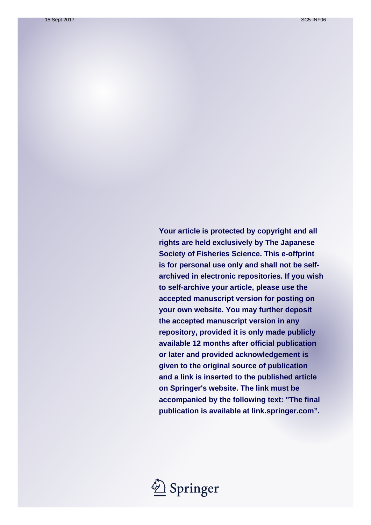**Your article is protected by copyright and all rights are held exclusively by The Japanese Society of Fisheries Science. This e-offprint is for personal use only and shall not be selfarchived in electronic repositories. If you wish to self-archive your article, please use the accepted manuscript version for posting on your own website. You may further deposit the accepted manuscript version in any repository, provided it is only made publicly available 12 months after official publication or later and provided acknowledgement is given to the original source of publication and a link is inserted to the published article on Springer's website. The link must be accompanied by the following text: "The final publication is available at link.springer.com".**

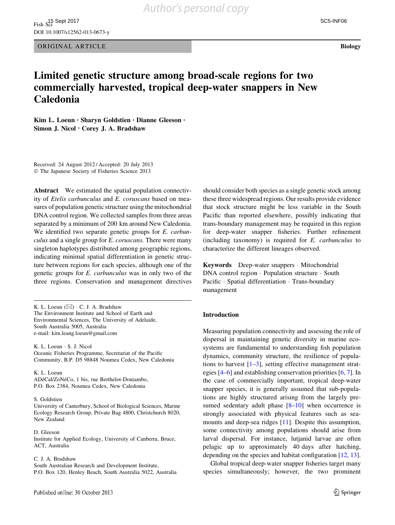ORIGINAL ARTICLE Biology

## Limited genetic structure among broad-scale regions for two commercially harvested, tropical deep-water snappers in New Caledonia

Kim L. Loeun • Sharyn Goldstien • Dianne Gleeson • Simon J. Nicol • Corey J. A. Bradshaw

Received: 24 August 2012 / Accepted: 20 July 2013 - The Japanese Society of Fisheries Science 2013

Abstract We estimated the spatial population connectivity of Etelis carbunculus and E. coruscans based on measures of population genetic structure using the mitochondrial DNA control region. We collected samples from three areas separated by a minimum of 200 km around New Caledonia. We identified two separate genetic groups for *E. carbun*culus and a single group for E. coruscans. There were many singleton haplotypes distributed among geographic regions, indicating minimal spatial differentiation in genetic structure between regions for each species, although one of the genetic groups for E. carbunculus was in only two of the three regions. Conservation and management directives

K. L. Loeun  $(\boxtimes) \cdot C$ . J. A. Bradshaw The Environment Institute and School of Earth and Environmental Sciences, The University of Adelaide, South Australia 5005, Australia e-mail: kim.leang.loeun@gmail.com

K. L. Loeun - S. J. Nicol Oceanic Fisheries Programme, Secretariat of the Pacific Community, B.P. D5 98848 Noumea Cedex, New Caledonia

K. L. Loeun ADéCal/ZoNéCo, 1 bis, rue Berthelot-Doniambo, P.O. Box 2384, Noumea Cedex, New Caledonia

#### S. Goldstien

University of Canterbury, School of Biological Sciences, Marine Ecology Research Group, Private Bag 4800, Christchurch 8020, New Zealand

D. Gleeson Institute for Applied Ecology, University of Canberra, Bruce, ACT, Australia

#### C. J. A. Bradshaw

South Australian Research and Development Institute, P.O. Box 120, Henley Beach, South Australia 5022, Australia should consider both species as a single genetic stock among these three widespread regions. Our results provide evidence that stock structure might be less variable in the South Pacific than reported elsewhere, possibly indicating that trans-boundary management may be required in this region for deep-water snapper fisheries. Further refinement (including taxonomy) is required for E. carbunculus to characterize the different lineages observed.

Keywords Deep-water snappers - Mitochondrial DNA control region - Population structure - South Pacific · Spatial differentiation · Trans-boundary management

#### Introduction

Measuring population connectivity and assessing the role of dispersal in maintaining genetic diversity in marine ecosystems are fundamental to understanding fish population dynamics, community structure, the resilience of populations to harvest  $[1-3]$ , setting effective management strategies [\[4](#page-8-0)[–6](#page-9-0)] and establishing conservation priorities [[6,](#page-9-0) [7](#page-9-0)]. In the case of commercially important, tropical deep-water snapper species, it is generally assumed that sub-populations are highly structured arising from the largely presumed sedentary adult phase  $[8-10]$  when occurrence is strongly associated with physical features such as seamounts and deep-sea ridges [[11\]](#page-9-0). Despite this assumption, some connectivity among populations should arise from larval dispersal. For instance, lutjanid larvae are often pelagic up to approximately 40 days after hatching, depending on the species and habitat configuration [[12,](#page-9-0) [13](#page-9-0)].

Global tropical deep-water snapper fisheries target many species simultaneously; however, the two prominent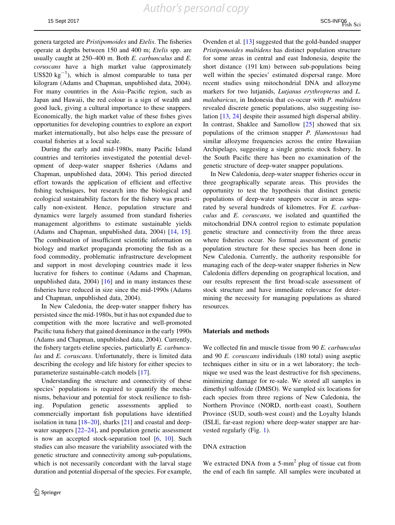genera targeted are Pristipomoides and Etelis. The fisheries operate at depths between 150 and 400 m; Etelis spp. are usually caught at 250–400 m. Both E. carbunculus and E. coruscans have a high market value (approximately US\$20  $kg^{-1}$ ), which is almost comparable to tuna per kilogram (Adams and Chapman, unpublished data, 2004). For many countries in the Asia–Pacific region, such as Japan and Hawaii, the red colour is a sign of wealth and good luck, giving a cultural importance to these snappers. Economically, the high market value of these fishes gives opportunities for developing countries to explore an export market internationally, but also helps ease the pressure of coastal fisheries at a local scale.

During the early and mid-1980s, many Pacific Island countries and territories investigated the potential development of deep-water snapper fisheries (Adams and Chapman, unpublished data, 2004). This period directed effort towards the application of efficient and effective fishing techniques, but research into the biological and ecological sustainability factors for the fishery was practically non-existent. Hence, population structure and dynamics were largely assumed from standard fisheries management algorithms to estimate sustainable yields (Adams and Chapman, unpublished data, 2004) [[14,](#page-9-0) [15](#page-9-0)]. The combination of insufficient scientific information on biology and market propaganda promoting the fish as a food commodity, problematic infrastructure development and support in most developing countries made it less lucrative for fishers to continue (Adams and Chapman, unpublished data,  $2004$ ) [\[16](#page-9-0)] and in many instances these fisheries have reduced in size since the mid-1990s (Adams and Chapman, unpublished data, 2004).

In New Caledonia, the deep-water snapper fishery has persisted since the mid-1980s, but it has not expanded due to competition with the more lucrative and well-promoted Pacific tuna fishery that gained dominance in the early 1990s (Adams and Chapman, unpublished data, 2004). Currently, the fishery targets eteline species, particularly E. carbunculus and E. coruscans. Unfortunately, there is limited data describing the ecology and life history for either species to parameterize sustainable-catch models [[17\]](#page-9-0).

Understanding the structure and connectivity of these species' populations is required to quantify the mechanisms, behaviour and potential for stock resilience to fishing. Population genetic assessments applied to commercially important fish populations have identified isolation in tuna  $[18–20]$  $[18–20]$ , sharks  $[21]$  $[21]$  and coastal and deepwater snappers  $[22-24]$ , and population genetic assessment is now an accepted stock-separation tool [\[6](#page-9-0), [10](#page-9-0)]. Such studies can also measure the variability associated with the genetic structure and connectivity among sub-populations, which is not necessarily concordant with the larval stage duration and potential dispersal of the species. For example, Ovenden et al. [\[13](#page-9-0)] suggested that the gold-banded snapper Pristipomoides multidens has distinct population structure for some areas in central and east Indonesia, despite the short distance (191 km) between sub-populations being well within the species' estimated dispersal range. More recent studies using mitochondrial DNA and allozyme markers for two lutjanids, Lutjanus erythropterus and L. malabaricus, in Indonesia that co-occur with P. multidens revealed discrete genetic populations, also suggesting isolation [\[13](#page-9-0), [24\]](#page-9-0) despite their assumed high dispersal ability. In contrast, Shaklee and Samollow [[25\]](#page-9-0) showed that six populations of the crimson snapper P. filamentosus had similar allozyme frequencies across the entire Hawaiian Archipelago, suggesting a single genetic stock fishery. In the South Pacific there has been no examination of the genetic structure of deep-water snapper populations.

In New Caledonia, deep-water snapper fisheries occur in three geographically separate areas. This provides the opportunity to test the hypothesis that distinct genetic populations of deep-water snappers occur in areas separated by several hundreds of kilometres. For E. carbunculus and E. coruscans, we isolated and quantified the mitochondrial DNA control region to estimate population genetic structure and connectivity from the three areas where fisheries occur. No formal assessment of genetic population structure for these species has been done in New Caledonia. Currently, the authority responsible for managing each of the deep-water snapper fisheries in New Caledonia differs depending on geographical location, and our results represent the first broad-scale assessment of stock structure and have immediate relevance for determining the necessity for managing populations as shared resources.

#### Materials and methods

We collected fin and muscle tissue from 90 E. carbunculus and 90 E. coruscans individuals (180 total) using aseptic techniques either in situ or in a wet laboratory; the technique we used was the least destructive for fish specimens, minimizing damage for re-sale. We stored all samples in dimethyl sulfoxide (DMSO). We sampled six locations for each species from three regions of New Caledonia, the Northern Province (NORD, north-east coast), Southern Province (SUD, south-west coast) and the Loyalty Islands (ISLE, far-east region) where deep-water snapper are harvested regularly (Fig. [1\)](#page-5-0).

#### DNA extraction

We extracted DNA from a  $5\text{-mm}^2$  plug of tissue cut from the end of each fin sample. All samples were incubated at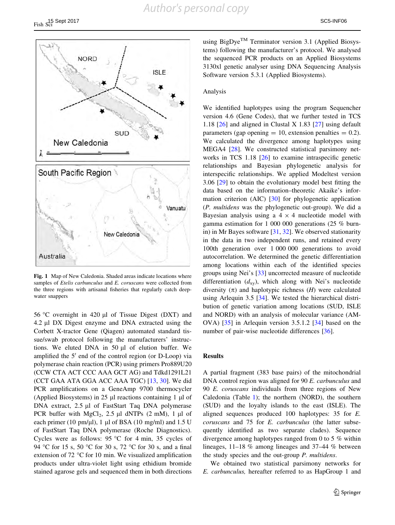<span id="page-5-0"></span>

Fig. 1 Map of New Caledonia. Shaded areas indicate locations where samples of Etelis carbunculus and E. coruscans were collected from the three regions with artisanal fisheries that regularly catch deepwater snappers

56 °C overnight in 420  $\mu$ l of Tissue Digest (DXT) and 4.2 µl DX Digest enzyme and DNA extracted using the Corbett X-tractor Gene (Qiagen) automated standard tissue/swab protocol following the manufacturers' instructions. We eluted DNA in  $50 \mu l$  of elution buffer. We amplified the  $5'$  end of the control region (or D-Loop) via polymerase chain reaction (PCR) using primers Pro889U20 (CCW CTA ACT CCC AAA GCT AG) and Tdkd1291L21 (CCT GAA ATA GGA ACC AAA TGC) [[13,](#page-9-0) [30\]](#page-9-0). We did PCR amplifications on a GeneAmp 9700 thermocycler (Applied Biosystems) in 25  $\mu$ l reactions containing 1  $\mu$ l of DNA extract,  $2.5 \mu l$  of FastStart Taq DNA polymerase PCR buffer with  $MgCl<sub>2</sub>$ , 2.5 µl dNTPs (2 mM), 1 µl of each primer (10 pm/ $\mu$ l), 1  $\mu$ l of BSA (10 mg/ml) and 1.5 U of FastStart Taq DNA polymerase (Roche Diagnostics). Cycles were as follows: 95 °C for 4 min, 35 cycles of 94 °C for 15 s, 50 °C for 30 s, 72 °C for 30 s, and a final extension of  $72 \text{ °C}$  for 10 min. We visualized amplification products under ultra-violet light using ethidium bromide stained agarose gels and sequenced them in both directions using BigDve<sup>TM</sup> Terminator version 3.1 (Applied Biosystems) following the manufacturer's protocol. We analysed the sequenced PCR products on an Applied Biosystems 3130xl genetic analyser using DNA Sequencing Analysis Software version 5.3.1 (Applied Biosystems).

#### Analysis

We identified haplotypes using the program Sequencher version 4.6 (Gene Codes), that we further tested in TCS 1.18 [\[26](#page-9-0)] and aligned in Clustal X 1.83 [[27\]](#page-9-0) using default parameters (gap opening  $= 10$ , extension penalties  $= 0.2$ ). We calculated the divergence among haplotypes using MEGA4 [[28\]](#page-9-0). We constructed statistical parsimony net-works in TCS 1.18 [\[26](#page-9-0)] to examine intraspecific genetic relationships and Bayesian phylogenetic analysis for interspecific relationships. We applied Modeltest version 3.06 [\[29](#page-9-0)] to obtain the evolutionary model best fitting the data based on the information–theoretic Akaike's information criterion (AIC) [\[30](#page-9-0)] for phylogenetic application (P. multidens was the phylogenetic out-group). We did a Bayesian analysis using a  $4 \times 4$  nucleotide model with gamma estimation for 1 000 000 generations (25 % burnin) in Mr Bayes software [\[31](#page-9-0), [32](#page-9-0)]. We observed stationarity in the data in two independent runs, and retained every 100th generation over 1 000 000 generations to avoid autocorrelation. We determined the genetic differentiation among locations within each of the identified species groups using Nei's [[33\]](#page-9-0) uncorrected measure of nucleotide differentiation  $(d_{xy})$ , which along with Nei's nucleotide diversity  $(\pi)$  and haplotypic richness  $(H)$  were calculated using Arlequin 3.5 [[34\]](#page-9-0). We tested the hierarchical distribution of genetic variation among locations (SUD, ISLE and NORD) with an analysis of molecular variance (AM-OVA) [\[35](#page-9-0)] in Arlequin version 3.5.1.2 [\[34](#page-9-0)] based on the number of pair-wise nucleotide differences [\[36](#page-9-0)].

#### Results

A partial fragment (383 base pairs) of the mitochondrial DNA control region was aligned for 90 E. carbunculus and 90 E. coruscans individuals from three regions of New Caledonia (Table [1\)](#page-6-0); the northern (NORD), the southern (SUD) and the loyalty islands to the east (ISLE). The aligned sequences produced 100 haplotypes: 35 for E. coruscans and 75 for E. carbunculus (the latter subsequently identified as two separate clades). Sequence divergence among haplotypes ranged from 0 to 5 % within lineages, 11–18 % among lineages and 37–44 % between the study species and the out-group P. multidens.

We obtained two statistical parsimony networks for E. carbunculus, hereafter referred to as HapGroup 1 and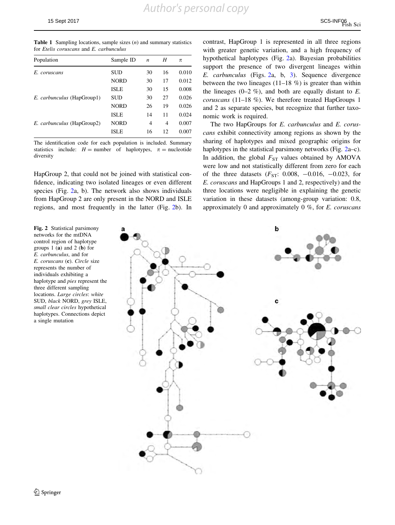<span id="page-6-0"></span>**Table 1** Sampling locations, sample sizes  $(n)$  and summary statistics for Etelis coruscans and E. carbunculus

| Population                        | Sample ID   | $\boldsymbol{n}$ | H  | π     |
|-----------------------------------|-------------|------------------|----|-------|
| E. coruscans                      | <b>SUD</b>  | 30               | 16 | 0.010 |
|                                   | <b>NORD</b> | 30               | 17 | 0.012 |
|                                   | <b>ISLE</b> | 30               | 15 | 0.008 |
| <i>E. carbunculus</i> (HapGroup1) | SUD         | 30               | 27 | 0.026 |
|                                   | <b>NORD</b> | 26               | 19 | 0.026 |
|                                   | <b>ISLE</b> | 14               | 11 | 0.024 |
| <i>E. carbunculus</i> (HapGroup2) | <b>NORD</b> | 4                | 4  | 0.007 |
|                                   | <b>ISLE</b> | 16               | 12 | 0.007 |
|                                   |             |                  |    |       |

The identification code for each population is included. Summary statistics include:  $H =$  number of haplotypes,  $\pi =$  nucleotide diversity

HapGroup 2, that could not be joined with statistical confidence, indicating two isolated lineages or even different species (Fig. 2a, b). The network also shows individuals from HapGroup 2 are only present in the NORD and ISLE regions, and most frequently in the latter (Fig. 2b). In

Fig. 2 Statistical parsimony networks for the mtDNA control region of haplotype groups  $1$  (a) and  $2$  (b) for E. carbunculus, and for E. coruscans (c). Circle size represents the number of individuals exhibiting a haplotype and pies represent the three different sampling locations. Large circles: white SUD, black NORD, grey ISLE, small clear circles hypothetical haplotypes. Connections depict a single mutation

contrast, HapGroup 1 is represented in all three regions with greater genetic variation, and a high frequency of hypothetical haplotypes (Fig. 2a). Bayesian probabilities support the presence of two divergent lineages within E. carbunculus (Figs. 2a, b, [3](#page-7-0)). Sequence divergence between the two lineages  $(11-18 \%)$  is greater than within the lineages  $(0-2, \%)$ , and both are equally distant to E. coruscans (11–18 %). We therefore treated HapGroups 1 and 2 as separate species, but recognize that further taxonomic work is required.

The two HapGroups for E. carbunculus and E. coruscans exhibit connectivity among regions as shown by the sharing of haplotypes and mixed geographic origins for haplotypes in the statistical parsimony networks (Fig. 2a–c). In addition, the global  $F_{ST}$  values obtained by AMOVA were low and not statistically different from zero for each of the three datasets  $(F_{ST}: 0.008, -0.016, -0.023,$  for E. coruscans and HapGroups 1 and 2, respectively) and the three locations were negligible in explaining the genetic variation in these datasets (among-group variation: 0.8, approximately 0 and approximately  $0 \%$ , for E. coruscans

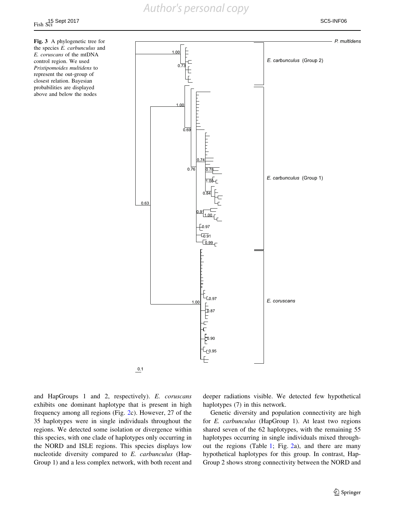Fig. 3 A phylogenetic tree for the species E. carbunculus and E. coruscans of the mtDNA control region. We used Pristipomoides multidens to represent the out-group of closest relation. Bayesian probabilities are displayed above and below the nodes

<span id="page-7-0"></span>

and HapGroups 1 and 2, respectively). E. coruscans exhibits one dominant haplotype that is present in high frequency among all regions (Fig. [2](#page-6-0)c). However, 27 of the 35 haplotypes were in single individuals throughout the regions. We detected some isolation or divergence within this species, with one clade of haplotypes only occurring in the NORD and ISLE regions. This species displays low nucleotide diversity compared to E. carbunculus (Hap-Group 1) and a less complex network, with both recent and deeper radiations visible. We detected few hypothetical haplotypes (7) in this network.

Genetic diversity and population connectivity are high for E. carbunculus (HapGroup 1). At least two regions shared seven of the 62 haplotypes, with the remaining 55 haplotypes occurring in single individuals mixed throughout the regions (Table [1](#page-6-0); Fig. [2](#page-6-0)a), and there are many hypothetical haplotypes for this group. In contrast, Hap-Group 2 shows strong connectivity between the NORD and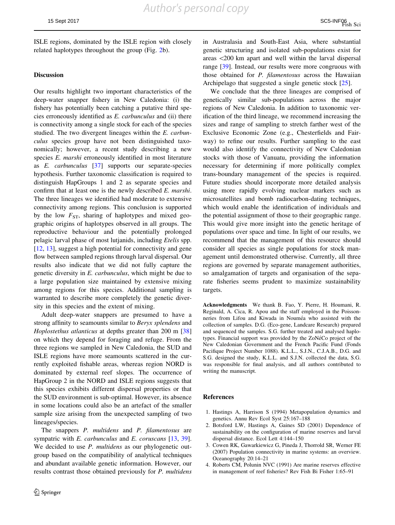<span id="page-8-0"></span>ISLE regions, dominated by the ISLE region with closely related haplotypes throughout the group (Fig. [2](#page-6-0)b).

#### Discussion

Our results highlight two important characteristics of the deep-water snapper fishery in New Caledonia: (i) the fishery has potentially been catching a putative third species erroneously identified as E. carbunculus and (ii) there is connectivity among a single stock for each of the species studied. The two divergent lineages within the E. carbunculus species group have not been distinguished taxonomically; however, a recent study describing a new species E. marshi erroneously identified in most literature as E. carbunculus [\[37](#page-9-0)] supports our separate-species hypothesis. Further taxonomic classification is required to distinguish HapGroups 1 and 2 as separate species and confirm that at least one is the newly described E. marshi. The three lineages we identified had moderate to extensive connectivity among regions. This conclusion is supported by the low  $F_{ST}$ , sharing of haplotypes and mixed geographic origins of haplotypes observed in all groups. The reproductive behaviour and the potentially prolonged pelagic larval phase of most lutjanids, including Etelis spp. [\[12](#page-9-0), [13\]](#page-9-0), suggest a high potential for connectivity and gene flow between sampled regions through larval dispersal. Our results also indicate that we did not fully capture the genetic diversity in E. carbunculus, which might be due to a large population size maintained by extensive mixing among regions for this species. Additional sampling is warranted to describe more completely the genetic diversity in this species and the extent of mixing.

Adult deep-water snappers are presumed to have a strong affinity to seamounts similar to Beryx splendens and Hoplostethus atlanticus at depths greater than 200 m [[38\]](#page-9-0) on which they depend for foraging and refuge. From the three regions we sampled in New Caledonia, the SUD and ISLE regions have more seamounts scattered in the currently exploited fishable areas, whereas region NORD is dominated by external reef slopes. The occurrence of HapGroup 2 in the NORD and ISLE regions suggests that this species exhibits different dispersal properties or that the SUD environment is sub-optimal. However, its absence in some locations could also be an artefact of the smaller sample size arising from the unexpected sampling of two lineages/species.

The snappers P. multidens and P. filamentosus are sympatric with *E. carbunculus* and *E. coruscans* [\[13](#page-9-0), [39](#page-9-0)]. We decided to use *P. multidens* as our phylogenetic outgroup based on the compatibility of analytical techniques and abundant available genetic information. However, our results contrast those obtained previously for P. multidens in Australasia and South-East Asia, where substantial genetic structuring and isolated sub-populations exist for areas \200 km apart and well within the larval dispersal range [\[39](#page-9-0)]. Instead, our results were more congruous with those obtained for P. filamentosus across the Hawaiian Archipelago that suggested a single genetic stock [\[25](#page-9-0)].

We conclude that the three lineages are comprised of genetically similar sub-populations across the major regions of New Caledonia. In addition to taxonomic verification of the third lineage, we recommend increasing the sizes and range of sampling to stretch farther west of the Exclusive Economic Zone (e.g., Chesterfields and Fairway) to refine our results. Further sampling to the east would also identify the connectivity of New Caledonian stocks with those of Vanuatu, providing the information necessary for determining if more politically complex trans-boundary management of the species is required. Future studies should incorporate more detailed analysis using more rapidly evolving nuclear markers such as microsatellites and bomb radiocarbon-dating techniques, which would enable the identification of individuals and the potential assignment of those to their geographic range. This would give more insight into the genetic heritage of populations over space and time. In light of our results, we recommend that the management of this resource should consider all species as single populations for stock management until demonstrated otherwise. Currently, all three regions are governed by separate management authorities, so amalgamation of targets and organisation of the separate fisheries seems prudent to maximize sustainability targets.

Acknowledgments We thank B. Fao, Y. Pierre, H. Houmani, R. Reginald, A. Cica, R. Apou and the staff employed in the Poissonneries from Lifou and Kiwada in Nouméa who assisted with the collection of samples. D.G. (Eco-gene, Landcare Research) prepared and sequenced the samples. S.G. further treated and analysed haplotypes. Financial support was provided by the ZoNéCo project of the New Caledonian Government and the French Pacific Fund (Fonds Pacifique Project Number 1088). K.L.L., S.J.N., C.J.A.B., D.G. and S.G. designed the study, K.L.L. and S.J.N. collected the data, S.G. was responsible for final analysis, and all authors contributed to writing the manuscript.

#### References

- 1. Hastings A, Harrison S (1994) Metapopulation dynamics and genetics. Annu Rev Ecol Syst 25:167–188
- 2. Botsford LW, Hastings A, Gaines SD (2001) Dependence of sustainability on the configuration of marine reserves and larval dispersal distance. Ecol Lett 4:144–150
- 3. Cowen RK, Gawarkiewicz G, Pineda J, Thorrold SR, Werner FE (2007) Population connectivity in marine systems: an overview. Oceanography 20:14–21
- 4. Roberts CM, Polunin NVC (1991) Are marine reserves effective in management of reef fisheries? Rev Fish Bi Fisher 1:65–91